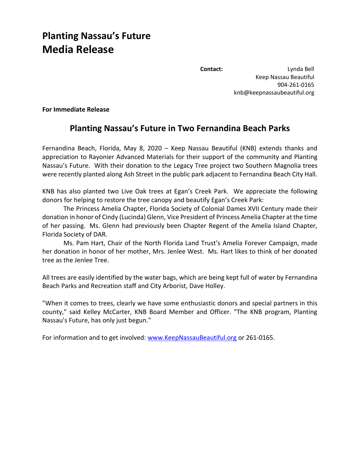## **Planting Nassau's Future Media Release**

**Contact:** Lynda Bell Keep Nassau Beautiful 904-261-0165 knb@keepnassaubeautiful.org

**For Immediate Release**

## **Planting Nassau's Future in Two Fernandina Beach Parks**

Fernandina Beach, Florida, May 8, 2020 – Keep Nassau Beautiful (KNB) extends thanks and appreciation to Rayonier Advanced Materials for their support of the community and Planting Nassau's Future. With their donation to the Legacy Tree project two Southern Magnolia trees were recently planted along Ash Street in the public park adjacent to Fernandina Beach City Hall.

KNB has also planted two Live Oak trees at Egan's Creek Park. We appreciate the following donors for helping to restore the tree canopy and beautify Egan's Creek Park:

The Princess Amelia Chapter, Florida Society of Colonial Dames XVII Century made their donation in honor of Cindy (Lucinda) Glenn, Vice President of Princess Amelia Chapter at the time of her passing. Ms. Glenn had previously been Chapter Regent of the Amelia Island Chapter, Florida Society of DAR.

Ms. Pam Hart, Chair of the North Florida Land Trust's Amelia Forever Campaign, made her donation in honor of her mother, Mrs. Jenlee West. Ms. Hart likes to think of her donated tree as the Jenlee Tree.

All trees are easily identified by the water bags, which are being kept full of water by Fernandina Beach Parks and Recreation staff and City Arborist, Dave Holley.

"When it comes to trees, clearly we have some enthusiastic donors and special partners in this county," said Kelley McCarter, KNB Board Member and Officer. "The KNB program, Planting Nassau's Future, has only just begun."

For information and to get involved: [www.KeepNassauBeautiful.org](http://www.keepnassaubeautiful.org/) or 261-0165.